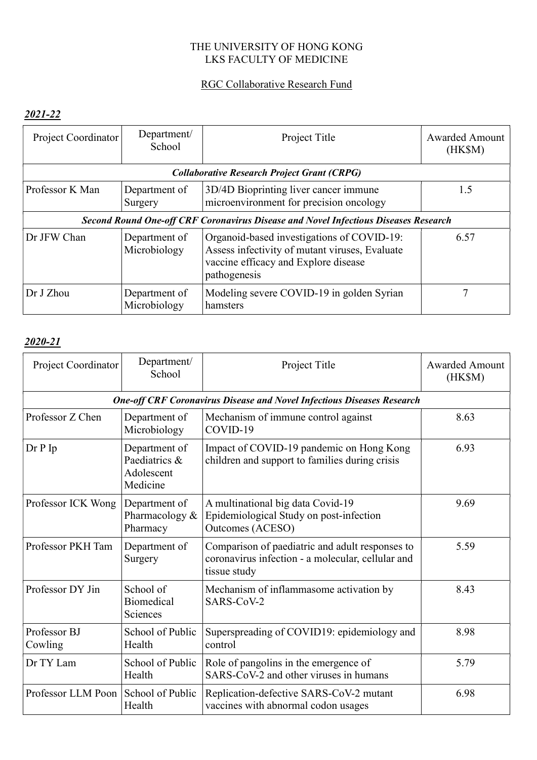# THE UNIVERSITY OF HONG KONG LKS FACULTY OF MEDICINE

#### RGC Collaborative Research Fund

# 2021-22

| Project Coordinator | Department/<br>School         | Project Title                                                                                                                                        | <b>Awarded Amount</b><br>(HK\$M) |
|---------------------|-------------------------------|------------------------------------------------------------------------------------------------------------------------------------------------------|----------------------------------|
|                     |                               | <b>Collaborative Research Project Grant (CRPG)</b>                                                                                                   |                                  |
| Professor K Man     | Department of<br>Surgery      | 3D/4D Bioprinting liver cancer immune<br>microenvironment for precision oncology                                                                     | 1.5                              |
|                     |                               | <b>Second Round One-off CRF Coronavirus Disease and Novel Infectious Diseases Research</b>                                                           |                                  |
| Dr JFW Chan         | Department of<br>Microbiology | Organoid-based investigations of COVID-19:<br>Assess infectivity of mutant viruses, Evaluate<br>vaccine efficacy and Explore disease<br>pathogenesis | 6.57                             |
| Dr J Zhou           | Department of<br>Microbiology | Modeling severe COVID-19 in golden Syrian<br>hamsters                                                                                                |                                  |

| Project Coordinator     | Department/<br>School                                    | Project Title                                                                                                        | <b>Awarded Amount</b><br>(HK\$M) |
|-------------------------|----------------------------------------------------------|----------------------------------------------------------------------------------------------------------------------|----------------------------------|
|                         |                                                          | <b>One-off CRF Coronavirus Disease and Novel Infectious Diseases Research</b>                                        |                                  |
| Professor Z Chen        | Department of<br>Microbiology                            | Mechanism of immune control against<br>COVID-19                                                                      | 8.63                             |
| $Dr P$ Ip               | Department of<br>Paediatrics &<br>Adolescent<br>Medicine | Impact of COVID-19 pandemic on Hong Kong<br>children and support to families during crisis                           | 6.93                             |
| Professor ICK Wong      | Department of<br>Pharmacology &<br>Pharmacy              | A multinational big data Covid-19<br>Epidemiological Study on post-infection<br><b>Outcomes (ACESO)</b>              | 9.69                             |
| Professor PKH Tam       | Department of<br>Surgery                                 | Comparison of paediatric and adult responses to<br>coronavirus infection - a molecular, cellular and<br>tissue study | 5.59                             |
| Professor DY Jin        | School of<br><b>Biomedical</b><br>Sciences               | Mechanism of inflammasome activation by<br>SARS-CoV-2                                                                | 8.43                             |
| Professor BJ<br>Cowling | School of Public<br>Health                               | Superspreading of COVID19: epidemiology and<br>control                                                               | 8.98                             |
| Dr TY Lam               | School of Public<br>Health                               | Role of pangolins in the emergence of<br>SARS-CoV-2 and other viruses in humans                                      | 5.79                             |
| Professor LLM Poon      | School of Public<br>Health                               | Replication-defective SARS-CoV-2 mutant<br>vaccines with abnormal codon usages                                       | 6.98                             |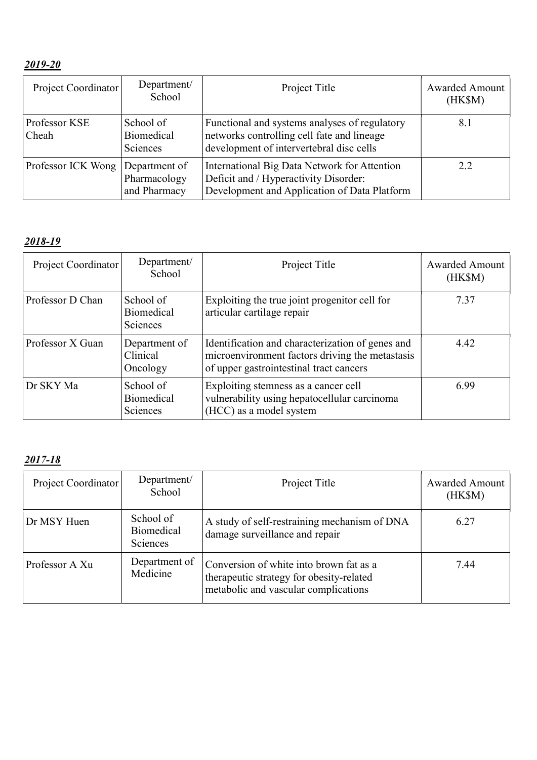| Project Coordinator    | Department/<br>School                         | Project Title                                                                                                                           | Awarded Amount<br>(HK\$M) |
|------------------------|-----------------------------------------------|-----------------------------------------------------------------------------------------------------------------------------------------|---------------------------|
| Professor KSE<br>Cheah | School of<br>Biomedical<br>Sciences           | Functional and systems analyses of regulatory<br>networks controlling cell fate and lineage<br>development of intervertebral disc cells | 8.1                       |
| Professor ICK Wong     | Department of<br>Pharmacology<br>and Pharmacy | International Big Data Network for Attention<br>Deficit and / Hyperactivity Disorder:<br>Development and Application of Data Platform   | 2.2                       |

| Project Coordinator | Department/<br>School                      | Project Title                                                                                                                                  | <b>Awarded Amount</b><br>(HK\$M) |
|---------------------|--------------------------------------------|------------------------------------------------------------------------------------------------------------------------------------------------|----------------------------------|
| Professor D Chan    | School of<br><b>Biomedical</b><br>Sciences | Exploiting the true joint progenitor cell for<br>articular cartilage repair                                                                    | 7.37                             |
| Professor X Guan    | Department of<br>Clinical<br>Oncology      | Identification and characterization of genes and<br>microenvironment factors driving the metastasis<br>of upper gastrointestinal tract cancers | 4.42                             |
| Dr SKY Ma           | School of<br><b>Biomedical</b><br>Sciences | Exploiting stemness as a cancer cell<br>vulnerability using hepatocellular carcinoma<br>(HCC) as a model system                                | 6.99                             |

| Project Coordinator | Department/<br>School                             | Project Title                                                                                                               | Awarded Amount<br>(HK\$M) |
|---------------------|---------------------------------------------------|-----------------------------------------------------------------------------------------------------------------------------|---------------------------|
| Dr MSY Huen         | School of<br><b>Biomedical</b><br><b>Sciences</b> | A study of self-restraining mechanism of DNA<br>damage surveillance and repair                                              | 6.27                      |
| Professor A Xu      | Department of<br>Medicine                         | Conversion of white into brown fat as a<br>therapeutic strategy for obesity-related<br>metabolic and vascular complications | 7.44                      |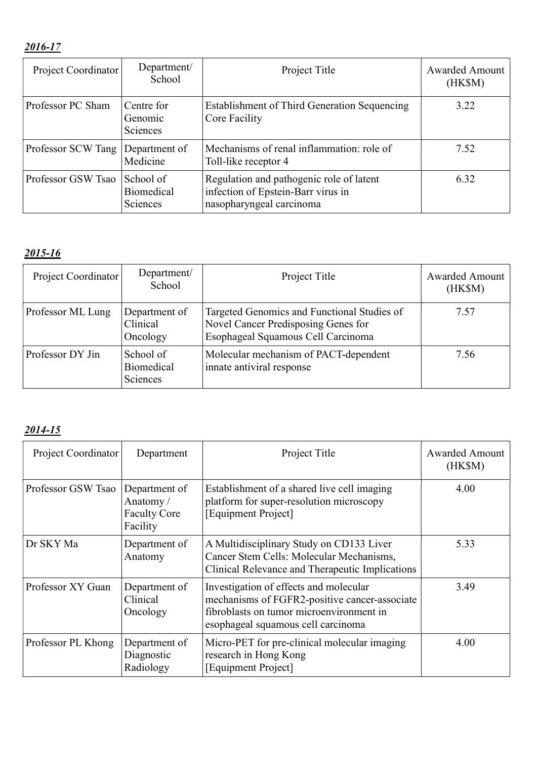| Project Coordinator | Department/<br>School                      | Project Title                                                                                              | <b>Awarded Amount</b><br>(HK\$M) |
|---------------------|--------------------------------------------|------------------------------------------------------------------------------------------------------------|----------------------------------|
| Professor PC Sham   | Centre for<br>Genomic<br>Sciences          | Establishment of Third Generation Sequencing<br>Core Facility                                              | 3.22                             |
| Professor SCW Tang  | Department of<br>Medicine                  | Mechanisms of renal inflammation: role of<br>Toll-like receptor 4                                          | 7.52                             |
| Professor GSW Tsao  | School of<br><b>Biomedical</b><br>Sciences | Regulation and pathogenic role of latent<br>infection of Epstein-Barr virus in<br>nasopharyngeal carcinoma | 6.32                             |

# 2015-16

| Project Coordinator | Department/<br>School                      | Project Title                                                                                                            | Awarded Amount<br>(HK\$M) |
|---------------------|--------------------------------------------|--------------------------------------------------------------------------------------------------------------------------|---------------------------|
| Professor ML Lung   | Department of<br>Clinical<br>Oncology      | Targeted Genomics and Functional Studies of<br>Novel Cancer Predisposing Genes for<br>Esophageal Squamous Cell Carcinoma | 7.57                      |
| Professor DY Jin    | School of<br><b>Biomedical</b><br>Sciences | Molecular mechanism of PACT-dependent<br>innate antiviral response                                                       | 7.56                      |

| Project Coordinator | Department                                                   | Project Title                                                                                                                                                             | <b>Awarded Amount</b><br>(HK\$M) |
|---------------------|--------------------------------------------------------------|---------------------------------------------------------------------------------------------------------------------------------------------------------------------------|----------------------------------|
| Professor GSW Tsao  | Department of<br>Anatomy/<br><b>Faculty Core</b><br>Facility | Establishment of a shared live cell imaging<br>platform for super-resolution microscopy<br>[Equipment Project]                                                            | 4.00                             |
| Dr SKY Ma           | Department of<br>Anatomy                                     | A Multidisciplinary Study on CD133 Liver<br>Cancer Stem Cells: Molecular Mechanisms,<br>Clinical Relevance and Therapeutic Implications                                   | 5.33                             |
| Professor XY Guan   | Department of<br>Clinical<br>Oncology                        | Investigation of effects and molecular<br>mechanisms of FGFR2-positive cancer-associate<br>fibroblasts on tumor microenvironment in<br>esophageal squamous cell carcinoma | 3.49                             |
| Professor PL Khong  | Department of<br>Diagnostic<br>Radiology                     | Micro-PET for pre-clinical molecular imaging<br>research in Hong Kong<br><b>Equipment Project</b>                                                                         | 4.00                             |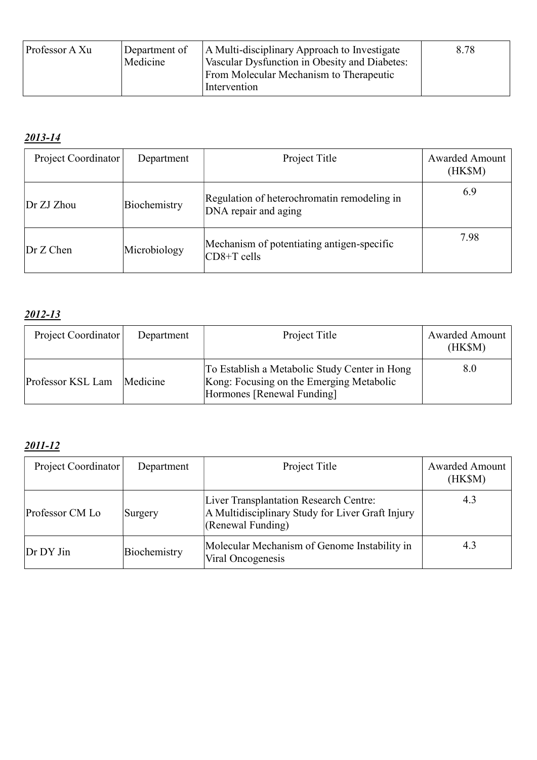| Professor A Xu | Department of<br>Medicine | A Multi-disciplinary Approach to Investigate<br>Vascular Dysfunction in Obesity and Diabetes:<br><b>From Molecular Mechanism to Therapeutic</b><br>Intervention | 8.78 |
|----------------|---------------------------|-----------------------------------------------------------------------------------------------------------------------------------------------------------------|------|
|----------------|---------------------------|-----------------------------------------------------------------------------------------------------------------------------------------------------------------|------|

| Project Coordinator | Department   | Project Title                                                       | <b>Awarded Amount</b><br>(HK\$M) |
|---------------------|--------------|---------------------------------------------------------------------|----------------------------------|
| Dr ZJ Zhou          | Biochemistry | Regulation of heterochromatin remodeling in<br>DNA repair and aging | 6.9                              |
| Dr Z Chen           | Microbiology | Mechanism of potentiating antigen-specific<br>$CD8+T$ cells         | 7.98                             |

# 2012-13

| Project Coordinator | Department | Project Title                                                                                                           | <b>Awarded Amount</b><br>(HK\$M) |
|---------------------|------------|-------------------------------------------------------------------------------------------------------------------------|----------------------------------|
| Professor KSL Lam   | Medicine   | To Establish a Metabolic Study Center in Hong<br>Kong: Focusing on the Emerging Metabolic<br>Hormones [Renewal Funding] | 8.0                              |

| Project Coordinator | Department   | Project Title                                                                                                   | <b>Awarded Amount</b><br>(HK\$M) |
|---------------------|--------------|-----------------------------------------------------------------------------------------------------------------|----------------------------------|
| Professor CM Lo     | Surgery      | Liver Transplantation Research Centre:<br>A Multidisciplinary Study for Liver Graft Injury<br>(Renewal Funding) | 4.3                              |
| Dr DY Jin           | Biochemistry | Molecular Mechanism of Genome Instability in<br>Viral Oncogenesis                                               | 4.3                              |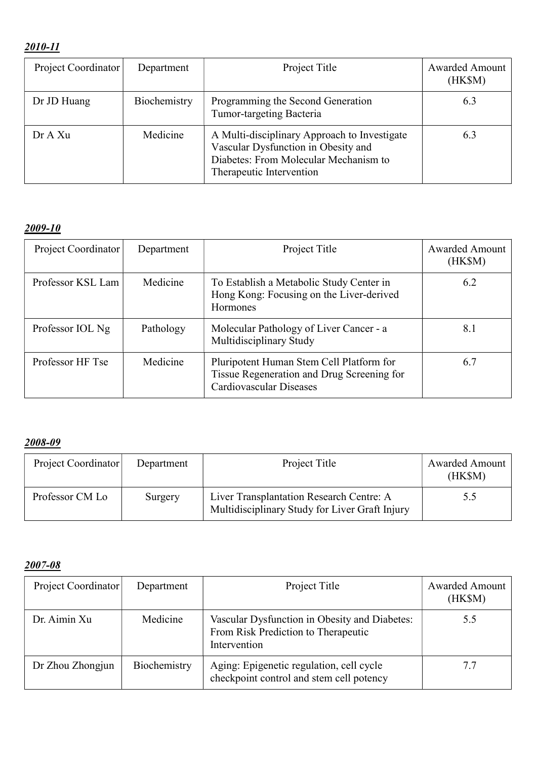| Project Coordinator | Department   | Project Title                                                                                                                                            | Awarded Amount<br>(HK\$M) |
|---------------------|--------------|----------------------------------------------------------------------------------------------------------------------------------------------------------|---------------------------|
| Dr JD Huang         | Biochemistry | Programming the Second Generation<br>Tumor-targeting Bacteria                                                                                            | 6.3                       |
| Dr A Xu             | Medicine     | A Multi-disciplinary Approach to Investigate<br>Vascular Dysfunction in Obesity and<br>Diabetes: From Molecular Mechanism to<br>Therapeutic Intervention | 6.3                       |

# 2009-10

| Project Coordinator | Department | Project Title                                                                                                            | <b>Awarded Amount</b><br>(HK\$M) |
|---------------------|------------|--------------------------------------------------------------------------------------------------------------------------|----------------------------------|
| Professor KSL Lam   | Medicine   | To Establish a Metabolic Study Center in<br>Hong Kong: Focusing on the Liver-derived<br><b>Hormones</b>                  | 6.2                              |
| Professor IOL Ng    | Pathology  | Molecular Pathology of Liver Cancer - a<br>Multidisciplinary Study                                                       | 8.1                              |
| Professor HF Tse    | Medicine   | Pluripotent Human Stem Cell Platform for<br>Tissue Regeneration and Drug Screening for<br><b>Cardiovascular Diseases</b> | 6.7                              |

# 2008-09

| Project Coordinator | Department | Project Title                                                                              | <b>Awarded Amount</b><br>(HK\$M) |
|---------------------|------------|--------------------------------------------------------------------------------------------|----------------------------------|
| Professor CM Lo     | Surgery    | Liver Transplantation Research Centre: A<br>Multidisciplinary Study for Liver Graft Injury | 5.5                              |

| Project Coordinator | Department   | Project Title                                                                                        | <b>Awarded Amount</b><br>(HK\$M) |
|---------------------|--------------|------------------------------------------------------------------------------------------------------|----------------------------------|
| Dr. Aimin Xu        | Medicine     | Vascular Dysfunction in Obesity and Diabetes:<br>From Risk Prediction to Therapeutic<br>Intervention | 5.5                              |
| Dr Zhou Zhongjun    | Biochemistry | Aging: Epigenetic regulation, cell cycle<br>checkpoint control and stem cell potency                 | 7.7                              |